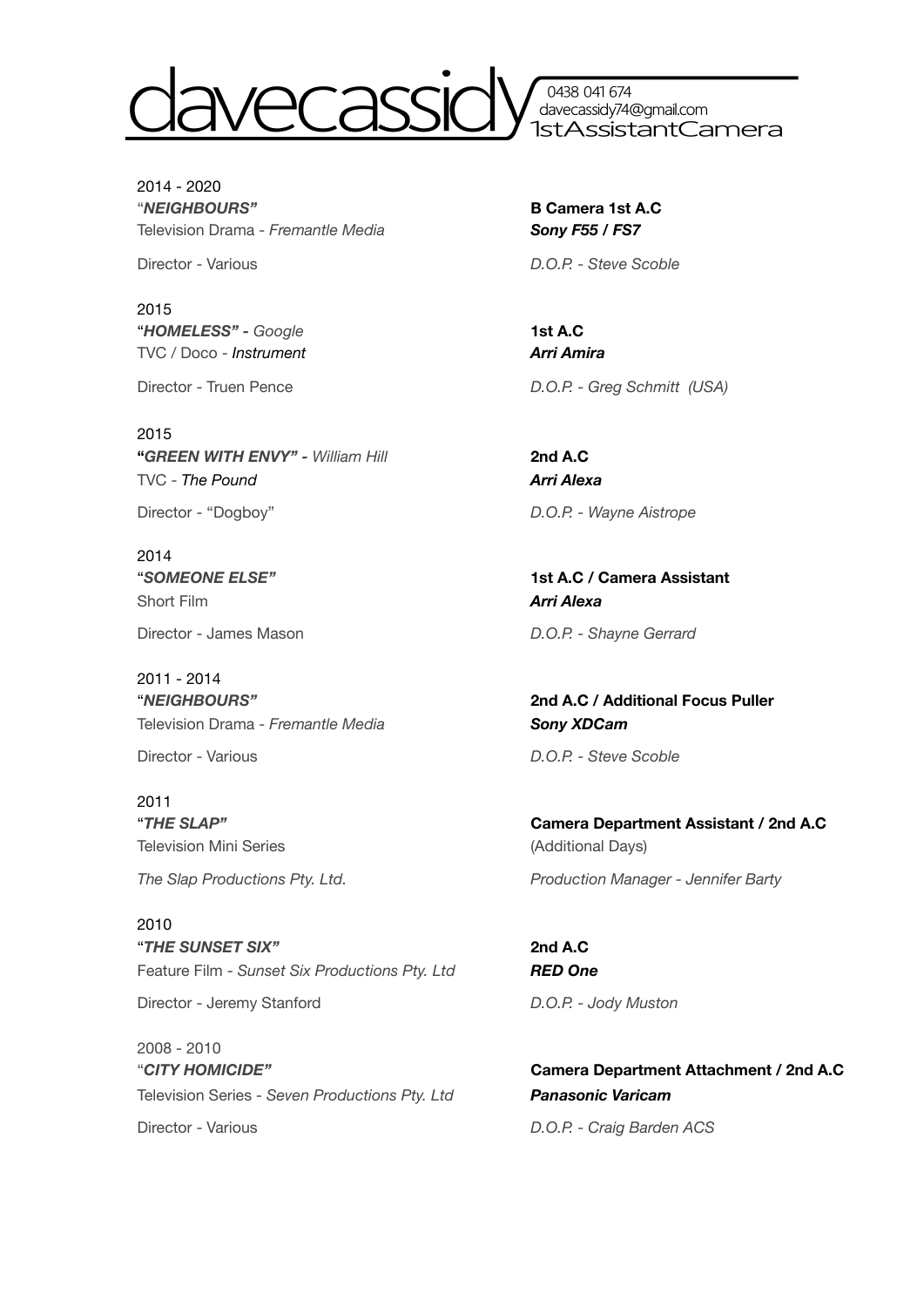

0438 041 674 davecassidy74@gmail.com 1stAssistantCamera

2014 - 2020 "*NEIGHBOURS"* **B Camera 1st A.C** Television Drama - *Fremantle Media CONSERGY <b>Sony F55 / FS7* 

2015 "*HOMELESS" - Google* **1st A.C** TVC / Doco - *Instrument Arri Amira* 

2015 **"***GREEN WITH ENVY" - William Hill* **2nd A.C** TVC - *The Pound Arri Alexa* 

2014 Short Film *Arri Alexa* 

Director - James Mason **D.O.P.** - Shayne Gerrard

2011 - 2014 "*NEIGHBOURS"* **2nd A.C / Additional Focus Puller** Television Drama - *Fremantle Media*<br>*Sony XDCam* 

Director - Various **D.O.P.** - Steve Scoble

2011 Television Mini Series **Manual Accord Contract Contract Contract Contract Contract Contract Contract Contract Contract Contract Contract Contract Contract Contract Contract Contract Contract Contract Contract Contract Cont** 

2010 "*THE SUNSET SIX"* **2nd A.C** Feature Film - *Sunset Six Productions Pty. Ltd RED One* 

Director - Jeremy Stanford **D.O.P.** - Jody Muston

2008 - 2010 "*CITY HOMICIDE"* **Camera Department Attachment / 2nd A.C** Television Series - *Seven Productions Pty. Ltd Panasonic Varicam* Director - Various **D.O.P.** - Craig Barden ACS

Director - Various **D.O.P.** - Steve Scoble

Director - Truen Pence *D.O.P. - Greg Schmitt (USA)* 

Director - "Dogboy" D.O.P. - Wayne Aistrope

"*SOMEONE ELSE"* **1st A.C / Camera Assistant**

"*THE SLAP"* **Camera Department Assistant / 2nd A.C The Slap Productions Pty. Ltd.** *Production Manager - Jennifer Barty*